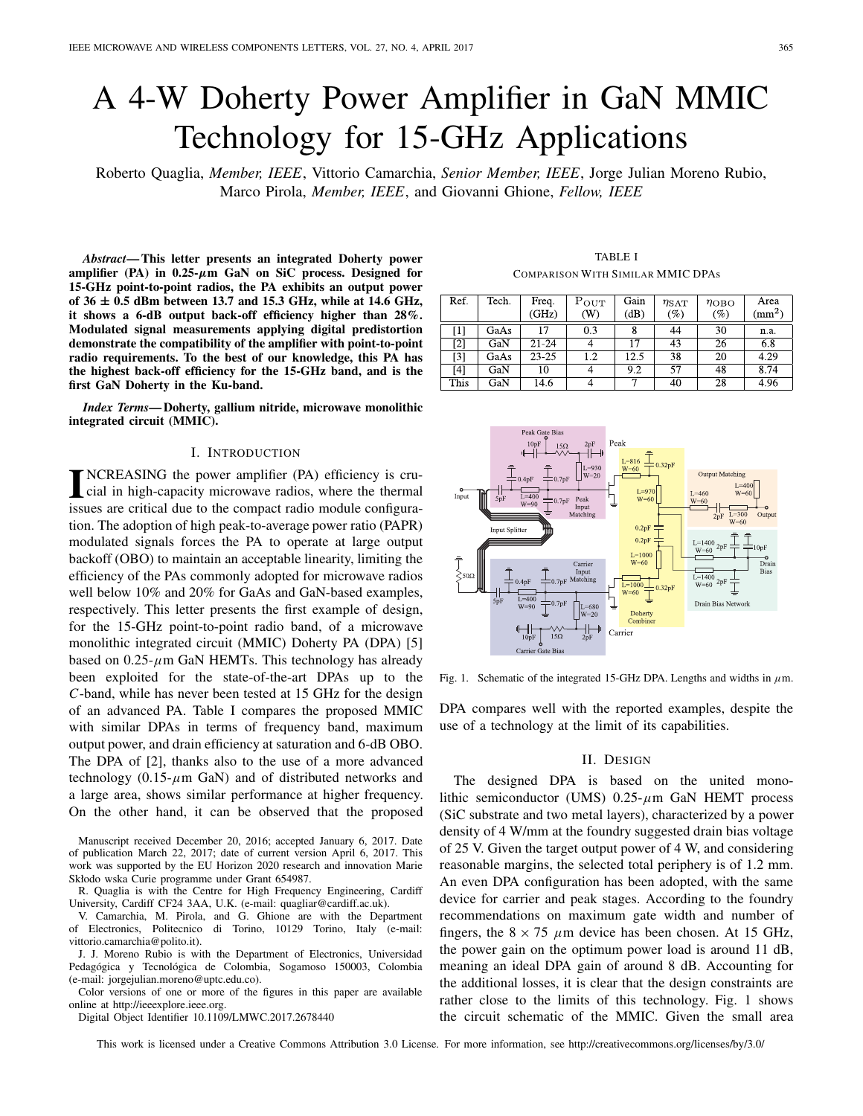# A 4-W Doherty Power Amplifier in GaN MMIC Technology for 15-GHz Applications

Roberto Quaglia, *Member, IEEE*, Vittorio Camarchia, *Senior Member, IEEE*, Jorge Julian Moreno Rubio, Marco Pirola, *Member, IEEE*, and Giovanni Ghione, *Fellow, IEEE*

*Abstract***— This letter presents an integrated Doherty power amplifier (PA) in 0.25-***µ***m GaN on SiC process. Designed for 15-GHz point-to-point radios, the PA exhibits an output power of 36 ± 0.5 dBm between 13.7 and 15.3 GHz, while at 14.6 GHz, it shows a 6-dB output back-off efficiency higher than 28%. Modulated signal measurements applying digital predistortion demonstrate the compatibility of the amplifier with point-to-point radio requirements. To the best of our knowledge, this PA has the highest back-off efficiency for the 15-GHz band, and is the first GaN Doherty in the Ku-band.**

*Index Terms***— Doherty, gallium nitride, microwave monolithic integrated circuit (MMIC).**

### I. INTRODUCTION

**I I**NCREASING the power amplifier (PA) efficiency is crucial in high-capacity microwave radios, where the thermal NCREASING the power amplifier (PA) efficiency is cruissues are critical due to the compact radio module configuration. The adoption of high peak-to-average power ratio (PAPR) modulated signals forces the PA to operate at large output backoff (OBO) to maintain an acceptable linearity, limiting the efficiency of the PAs commonly adopted for microwave radios well below 10% and 20% for GaAs and GaN-based examples, respectively. This letter presents the first example of design, for the 15-GHz point-to-point radio band, of a microwave monolithic integrated circuit (MMIC) Doherty PA (DPA) [5] based on  $0.25$ - $\mu$ m GaN HEMTs. This technology has already been exploited for the state-of-the-art DPAs up to the *C*-band, while has never been tested at 15 GHz for the design of an advanced PA. Table I compares the proposed MMIC with similar DPAs in terms of frequency band, maximum output power, and drain efficiency at saturation and 6-dB OBO. The DPA of [2], thanks also to the use of a more advanced technology  $(0.15 \text{-} \mu \text{m} \text{ GaN})$  and of distributed networks and a large area, shows similar performance at higher frequency. On the other hand, it can be observed that the proposed

Manuscript received December 20, 2016; accepted January 6, 2017. Date of publication March 22, 2017; date of current version April 6, 2017. This work was supported by the EU Horizon 2020 research and innovation Marie Skłodo wska Curie programme under Grant 654987.

R. Quaglia is with the Centre for High Frequency Engineering, Cardiff University, Cardiff CF24 3AA, U.K. (e-mail: quagliar@cardiff.ac.uk).

V. Camarchia, M. Pirola, and G. Ghione are with the Department of Electronics, Politecnico di Torino, 10129 Torino, Italy (e-mail: vittorio.camarchia@polito.it).

J. J. Moreno Rubio is with the Department of Electronics, Universidad Pedagógica y Tecnológica de Colombia, Sogamoso 150003, Colombia (e-mail: jorgejulian.moreno@uptc.edu.co).

Color versions of one or more of the figures in this paper are available online at http://ieeexplore.ieee.org.

Digital Object Identifier 10.1109/LMWC.2017.2678440

TABLE I COMPARISON WITH SIMILAR MMIC DPAs

| Ref.  | Tech. | Freq.<br>(GHz) | $_{\rm{POUT}}$<br>(W) | Gain<br>(dB) | $\eta_{\text{SAT}}$<br>(%) | $\eta$ OBO<br>(%) | Area<br>$\rm (mm^2)$ |
|-------|-------|----------------|-----------------------|--------------|----------------------------|-------------------|----------------------|
|       | GaAs  | 17             | 0.3                   |              | 44                         | 30                | n.a.                 |
| $[2]$ | GaN   | $21 - 24$      |                       |              | 43                         | 26                | 6.8                  |
| $[3]$ | GaAs  | $23 - 25$      | 1.2                   | 12.5         | 38                         | 20                | 4.29                 |
| [4]   | GaN   | 10             |                       | 9.2          | 57                         | 48                | 8.74                 |
| This  | GaN   | 14.6           |                       |              | 40                         | 28                | 4.96                 |



Fig. 1. Schematic of the integrated 15-GHz DPA. Lengths and widths in  $\mu$ m.

DPA compares well with the reported examples, despite the use of a technology at the limit of its capabilities.

#### II. DESIGN

The designed DPA is based on the united monolithic semiconductor (UMS)  $0.25-\mu m$  GaN HEMT process (SiC substrate and two metal layers), characterized by a power density of 4 W/mm at the foundry suggested drain bias voltage of 25 V. Given the target output power of 4 W, and considering reasonable margins, the selected total periphery is of 1.2 mm. An even DPA configuration has been adopted, with the same device for carrier and peak stages. According to the foundry recommendations on maximum gate width and number of fingers, the  $8 \times 75$  µm device has been chosen. At 15 GHz, the power gain on the optimum power load is around 11 dB, meaning an ideal DPA gain of around 8 dB. Accounting for the additional losses, it is clear that the design constraints are rather close to the limits of this technology. Fig. 1 shows the circuit schematic of the MMIC. Given the small area

This work is licensed under a Creative Commons Attribution 3.0 License. For more information, see http://creativecommons.org/licenses/by/3.0/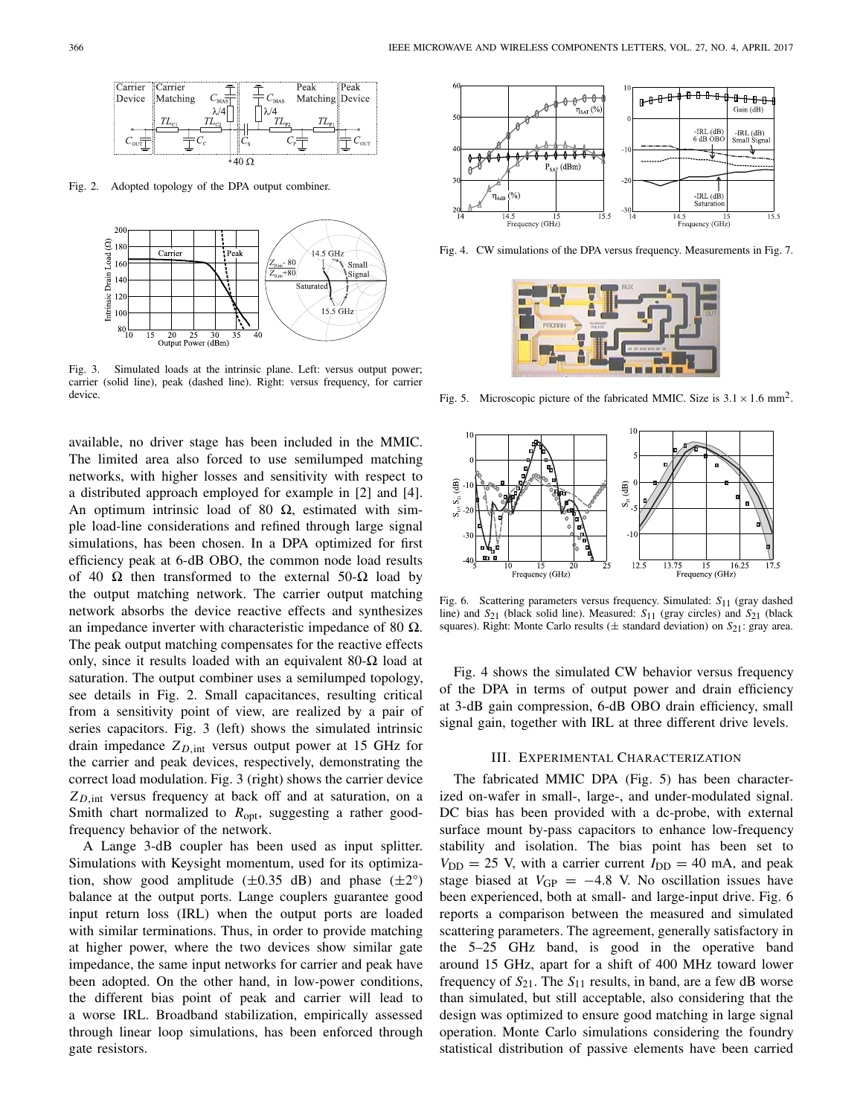

Fig. 2. Adopted topology of the DPA output combiner.



Fig. 3. Simulated loads at the intrinsic plane. Left: versus output power; carrier (solid line), peak (dashed line). Right: versus frequency, for carrier device.

available, no driver stage has been included in the MMIC. The limited area also forced to use semilumped matching networks, with higher losses and sensitivity with respect to a distributed approach employed for example in [2] and [4]. An optimum intrinsic load of 80  $\Omega$ , estimated with simple load-line considerations and refined through large signal simulations, has been chosen. In a DPA optimized for first efficiency peak at 6-dB OBO, the common node load results of 40  $\Omega$  then transformed to the external 50- $\Omega$  load by the output matching network. The carrier output matching network absorbs the device reactive effects and synthesizes an impedance inverter with characteristic impedance of 80  $\Omega$ . The peak output matching compensates for the reactive effects only, since it results loaded with an equivalent 80- $\Omega$  load at saturation. The output combiner uses a semilumped topology, see details in Fig. 2. Small capacitances, resulting critical from a sensitivity point of view, are realized by a pair of series capacitors. Fig. 3 (left) shows the simulated intrinsic drain impedance  $Z_{D,\text{int}}$  versus output power at 15 GHz for the carrier and peak devices, respectively, demonstrating the correct load modulation. Fig. 3 (right) shows the carrier device *Z <sup>D</sup>*,int versus frequency at back off and at saturation, on a Smith chart normalized to  $R_{\text{opt}}$ , suggesting a rather goodfrequency behavior of the network.

A Lange 3-dB coupler has been used as input splitter. Simulations with Keysight momentum, used for its optimization, show good amplitude  $(\pm 0.35 \text{ dB})$  and phase  $(\pm 2^{\circ})$ balance at the output ports. Lange couplers guarantee good input return loss (IRL) when the output ports are loaded with similar terminations. Thus, in order to provide matching at higher power, where the two devices show similar gate impedance, the same input networks for carrier and peak have been adopted. On the other hand, in low-power conditions, the different bias point of peak and carrier will lead to a worse IRL. Broadband stabilization, empirically assessed through linear loop simulations, has been enforced through gate resistors.



Fig. 4. CW simulations of the DPA versus frequency. Measurements in Fig. 7.



Fig. 5. Microscopic picture of the fabricated MMIC. Size is  $3.1 \times 1.6$  mm<sup>2</sup>.



Fig. 6. Scattering parameters versus frequency. Simulated: *S*11 (gray dashed line) and  $S_{21}$  (black solid line). Measured:  $S_{11}$  (gray circles) and  $S_{21}$  (black squares). Right: Monte Carlo results ( $\pm$  standard deviation) on  $S_{21}$ : gray area.

Fig. 4 shows the simulated CW behavior versus frequency of the DPA in terms of output power and drain efficiency at 3-dB gain compression, 6-dB OBO drain efficiency, small signal gain, together with IRL at three different drive levels.

#### III. EXPERIMENTAL CHARACTERIZATION

The fabricated MMIC DPA (Fig. 5) has been characterized on-wafer in small-, large-, and under-modulated signal. DC bias has been provided with a dc-probe, with external surface mount by-pass capacitors to enhance low-frequency stability and isolation. The bias point has been set to  $V_{\text{DD}} = 25$  V, with a carrier current  $I_{\text{DD}} = 40$  mA, and peak stage biased at  $V_{GP} = -4.8$  V. No oscillation issues have been experienced, both at small- and large-input drive. Fig. 6 reports a comparison between the measured and simulated scattering parameters. The agreement, generally satisfactory in the 5–25 GHz band, is good in the operative band around 15 GHz, apart for a shift of 400 MHz toward lower frequency of  $S_{21}$ . The  $S_{11}$  results, in band, are a few dB worse than simulated, but still acceptable, also considering that the design was optimized to ensure good matching in large signal operation. Monte Carlo simulations considering the foundry statistical distribution of passive elements have been carried